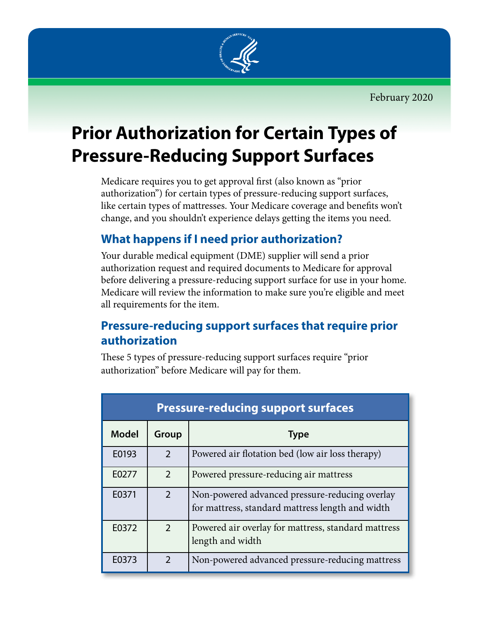

# **Prior Authorization for Certain Types of Pressure-Reducing Support Surfaces**

Medicare requires you to get approval first (also known as "prior authorization") for certain types of pressure-reducing support surfaces, like certain types of mattresses. Your Medicare coverage and benefits won't change, and you shouldn't experience delays getting the items you need.

## **What happens if I need prior authorization?**

Your durable medical equipment (DME) supplier will send a prior authorization request and required documents to Medicare for approval before delivering a pressure-reducing support surface for use in your home. Medicare will review the information to make sure you're eligible and meet all requirements for the item.

### **Pressure-reducing support surfaces that require prior authorization**

These 5 types of pressure-reducing support surfaces require "prior authorization" before Medicare will pay for them.

| <b>Pressure-reducing support surfaces</b> |                |                                                                                                    |
|-------------------------------------------|----------------|----------------------------------------------------------------------------------------------------|
| <b>Model</b>                              | Group          | <b>Type</b>                                                                                        |
| E0193                                     | $\mathfrak{D}$ | Powered air flotation bed (low air loss therapy)                                                   |
| E0277                                     | $\mathcal{P}$  | Powered pressure-reducing air mattress                                                             |
| E0371                                     | $\mathcal{P}$  | Non-powered advanced pressure-reducing overlay<br>for mattress, standard mattress length and width |
| E0372                                     | $\overline{2}$ | Powered air overlay for mattress, standard mattress<br>length and width                            |
| E0373                                     | $\mathcal{D}$  | Non-powered advanced pressure-reducing mattress                                                    |